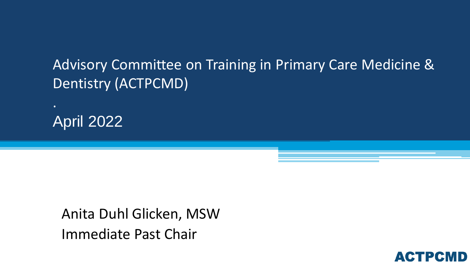#### Advisory Committee on Training in Primary Care Medicine & Dentistry (ACTPCMD)

April 2022

.

Anita Duhl Glicken, MSW Immediate Past Chair

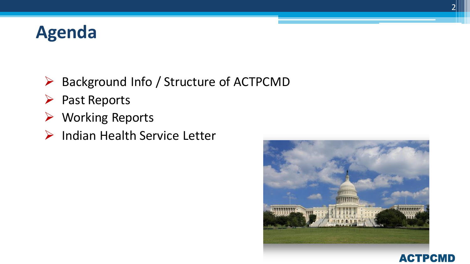## **Agenda**

- ▶ Background Info / Structure of ACTPCMD
- $\triangleright$  Past Reports
- Working Reports
- ▶ Indian Health Service Letter



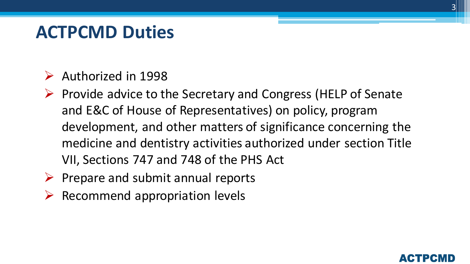#### **ACTPCMD Duties**

- $\triangleright$  Authorized in 1998
- $\triangleright$  Provide advice to the Secretary and Congress (HELP of Senate and E&C of House of Representatives) on policy, program development, and other matters of significance concerning the medicine and dentistry activities authorized under section Title VII, Sections 747 and 748 of the PHS Act
- $\triangleright$  Prepare and submit annual reports
- $\triangleright$  Recommend appropriation levels

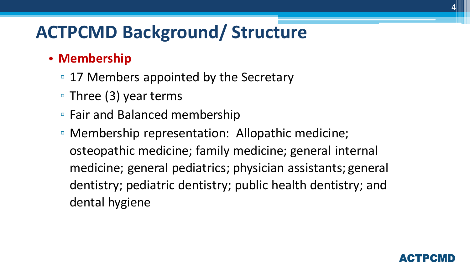## **ACTPCMD Background/ Structure**

#### • **Membership**

- 17 Members appointed by the Secretary
- Three (3) year terms
- Fair and Balanced membership
- Membership representation: Allopathic medicine; osteopathic medicine; family medicine; general internal medicine; general pediatrics; physician assistants; general dentistry; pediatric dentistry; public health dentistry; and dental hygiene

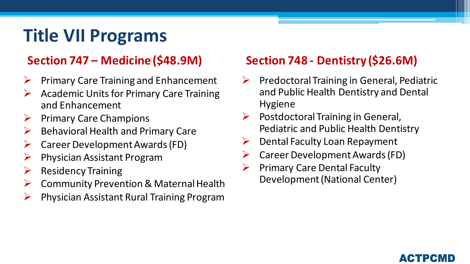## **Title VII Programs**

#### **Section 747 – Medicine (\$48.9M)**

- $\triangleright$  Primary Care Training and Enhancement
- $\triangleright$  Academic Units for Primary Care Training and Enhancement
- $\triangleright$  Primary Care Champions
- $\triangleright$  Behavioral Health and Primary Care
- $\triangleright$  Career Development Awards (FD)
- $\triangleright$  Physician Assistant Program
- $\triangleright$  Residency Training
- $\triangleright$  Community Prevention & Maternal Health
- $\triangleright$  Physician Assistant Rural Training Program

#### **Section 748 - Dentistry (\$26.6M)**

- $\triangleright$  Predoctoral Training in General, Pediatric and Public Health Dentistry and Dental Hygiene
- $\triangleright$  Postdoctoral Training in General, Pediatric and Public Health Dentistry
- $\triangleright$  Dental Faculty Loan Repayment
- $\triangleright$  Career Development Awards (FD)
- $\triangleright$  Primary Care Dental Faculty Development (National Center)

#### АСТРСМ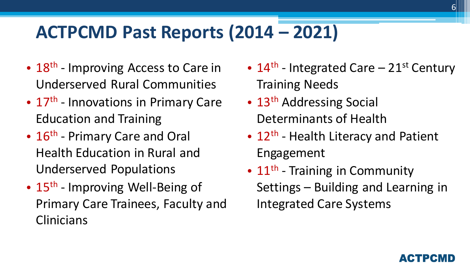## **ACTPCMD Past Reports (2014 – 2021)**

- 18<sup>th</sup> Improving Access to Care in Underserved Rural Communities
- 17<sup>th</sup> Innovations in Primary Care Education and Training
- 16<sup>th</sup> Primary Care and Oral Health Education in Rural and Underserved Populations
- 15<sup>th</sup> Improving Well-Being of Primary Care Trainees, Faculty and **Clinicians**
- $14<sup>th</sup>$  Integrated Care 21<sup>st</sup> Century Training Needs
- 13<sup>th</sup> Addressing Social Determinants of Health
- 12<sup>th</sup> Health Literacy and Patient Engagement
- 11<sup>th</sup> Training in Community Settings – Building and Learning in Integrated Care Systems

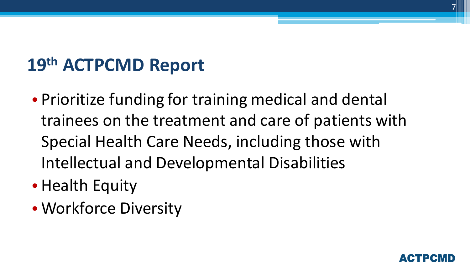• Prioritize funding for training medical and dental trainees on the treatment and care of patients with Special Health Care Needs, including those with Intellectual and Developmental Disabilities

7

- Health Equity
- Workforce Diversity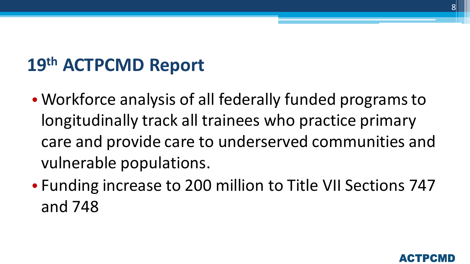- Workforce analysis of all federally funded programs to longitudinally track all trainees who practice primary care and provide care to underserved communities and vulnerable populations.
- Funding increase to 200 million to Title VII Sections 747 and 748



8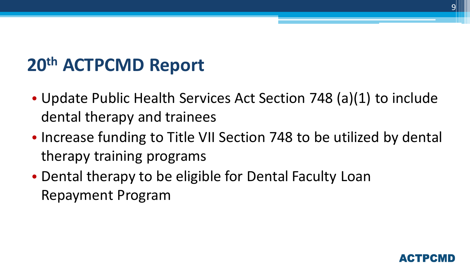- Update Public Health Services Act Section 748 (a)(1) to include dental therapy and trainees
- Increase funding to Title VII Section 748 to be utilized by dental therapy training programs
- Dental therapy to be eligible for Dental Faculty Loan Repayment Program

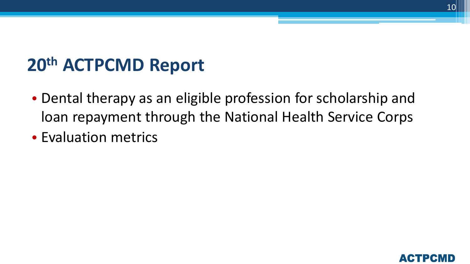- Dental therapy as an eligible profession for scholarship and loan repayment through the National Health Service Corps
- Evaluation metrics

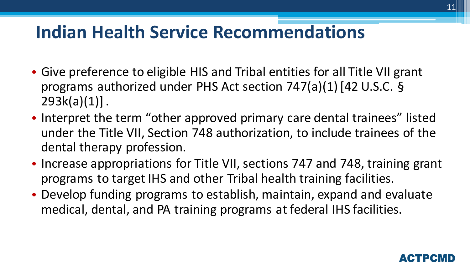#### **Indian Health Service Recommendations**

- Give preference to eligible HIS and Tribal entities for all Title VII grant programs authorized under PHS Act section 747(a)(1) [42 U.S.C. §  $293k(a)(1)$ ].
- Interpret the term "other approved primary care dental trainees" listed under the Title VII, Section 748 authorization, to include trainees of the dental therapy profession.
- Increase appropriations for Title VII, sections 747 and 748, training grant programs to target IHS and other Tribal health training facilities.
- Develop funding programs to establish, maintain, expand and evaluate medical, dental, and PA training programs at federal IHS facilities.



11

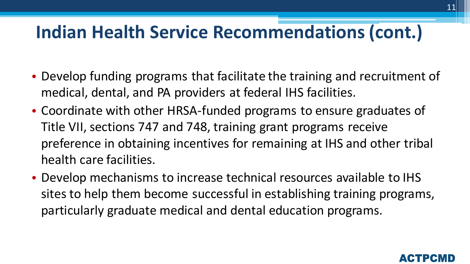#### **Indian Health Service Recommendations (cont.)**

- Develop funding programs that facilitate the training and recruitment of medical, dental, and PA providers at federal IHS facilities.
- Coordinate with other HRSA-funded programs to ensure graduates of Title VII, sections 747 and 748, training grant programs receive preference in obtaining incentives for remaining at IHS and other tribal health care facilities.
- Develop mechanisms to increase technical resources available to IHS sites to help them become successful in establishing training programs, particularly graduate medical and dental education programs.